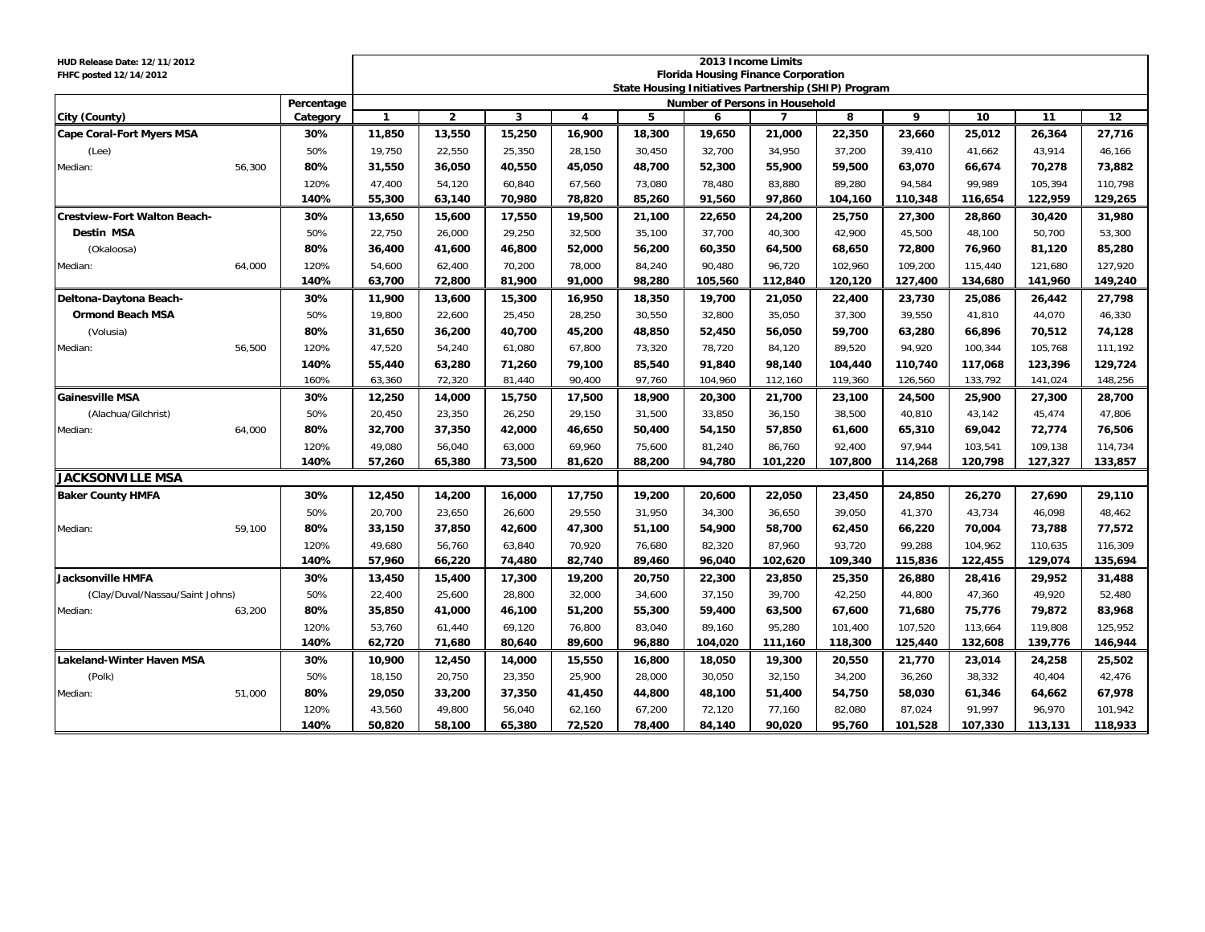| HUD Release Date: 12/11/2012<br>FHFC posted 12/14/2012 |        |            | 2013 Income Limits<br><b>Florida Housing Finance Corporation</b><br>State Housing Initiatives Partnership (SHIP) Program |                |        |        |        |                                |                |         |         |         |         |         |  |
|--------------------------------------------------------|--------|------------|--------------------------------------------------------------------------------------------------------------------------|----------------|--------|--------|--------|--------------------------------|----------------|---------|---------|---------|---------|---------|--|
|                                                        |        | Percentage |                                                                                                                          |                |        |        |        | Number of Persons in Household |                |         |         |         |         |         |  |
| City (County)                                          |        | Category   | $\mathbf{1}$                                                                                                             | $\overline{2}$ | 3      | 4      | 5      | 6                              | $\overline{7}$ | 8       | 9       | 10      | 11      | 12      |  |
| <b>Cape Coral-Fort Myers MSA</b>                       |        | 30%        | 11,850                                                                                                                   | 13,550         | 15,250 | 16,900 | 18,300 | 19,650                         | 21,000         | 22,350  | 23,660  | 25,012  | 26,364  | 27,716  |  |
| (Lee)                                                  |        | 50%        | 19,750                                                                                                                   | 22,550         | 25,350 | 28,150 | 30,450 | 32,700                         | 34,950         | 37,200  | 39,410  | 41,662  | 43,914  | 46,166  |  |
| Median:                                                | 56,300 | 80%        | 31,550                                                                                                                   | 36,050         | 40,550 | 45,050 | 48,700 | 52,300                         | 55,900         | 59,500  | 63,070  | 66,674  | 70,278  | 73,882  |  |
|                                                        |        | 120%       | 47,400                                                                                                                   | 54,120         | 60,840 | 67,560 | 73,080 | 78,480                         | 83,880         | 89,280  | 94,584  | 99,989  | 105,394 | 110,798 |  |
|                                                        |        | 140%       | 55,300                                                                                                                   | 63,140         | 70,980 | 78,820 | 85,260 | 91,560                         | 97,860         | 104,160 | 110,348 | 116,654 | 122,959 | 129,265 |  |
| <b>Crestview-Fort Walton Beach-</b>                    |        | 30%        | 13,650                                                                                                                   | 15,600         | 17,550 | 19,500 | 21,100 | 22,650                         | 24,200         | 25,750  | 27,300  | 28,860  | 30,420  | 31,980  |  |
| <b>Destin MSA</b>                                      |        | 50%        | 22,750                                                                                                                   | 26,000         | 29,250 | 32,500 | 35,100 | 37,700                         | 40,300         | 42,900  | 45,500  | 48,100  | 50,700  | 53,300  |  |
| (Okaloosa)                                             |        | 80%        | 36,400                                                                                                                   | 41,600         | 46,800 | 52,000 | 56,200 | 60,350                         | 64,500         | 68,650  | 72,800  | 76,960  | 81,120  | 85,280  |  |
| Median:                                                | 64,000 | 120%       | 54,600                                                                                                                   | 62,400         | 70,200 | 78,000 | 84,240 | 90.480                         | 96,720         | 102,960 | 109,200 | 115,440 | 121,680 | 127,920 |  |
|                                                        |        | 140%       | 63,700                                                                                                                   | 72,800         | 81,900 | 91,000 | 98,280 | 105,560                        | 112,840        | 120,120 | 127,400 | 134,680 | 141,960 | 149,240 |  |
| Deltona-Daytona Beach-                                 |        | 30%        | 11,900                                                                                                                   | 13,600         | 15,300 | 16,950 | 18,350 | 19,700                         | 21,050         | 22,400  | 23,730  | 25,086  | 26,442  | 27,798  |  |
| <b>Ormond Beach MSA</b>                                |        | 50%        | 19,800                                                                                                                   | 22,600         | 25,450 | 28,250 | 30,550 | 32,800                         | 35,050         | 37,300  | 39,550  | 41,810  | 44,070  | 46,330  |  |
| (Volusia)                                              |        | 80%        | 31,650                                                                                                                   | 36,200         | 40,700 | 45,200 | 48,850 | 52,450                         | 56,050         | 59,700  | 63,280  | 66,896  | 70,512  | 74,128  |  |
| Median:                                                | 56,500 | 120%       | 47,520                                                                                                                   | 54,240         | 61,080 | 67,800 | 73,320 | 78,720                         | 84,120         | 89,520  | 94,920  | 100,344 | 105,768 | 111,192 |  |
|                                                        |        | 140%       | 55,440                                                                                                                   | 63,280         | 71,260 | 79,100 | 85,540 | 91,840                         | 98,140         | 104,440 | 110,740 | 117,068 | 123,396 | 129,724 |  |
|                                                        |        | 160%       | 63,360                                                                                                                   | 72,320         | 81,440 | 90,400 | 97,760 | 104,960                        | 112,160        | 119,360 | 126,560 | 133,792 | 141,024 | 148,256 |  |
| <b>Gainesville MSA</b>                                 |        | 30%        | 12,250                                                                                                                   | 14,000         | 15,750 | 17,500 | 18,900 | 20,300                         | 21,700         | 23,100  | 24,500  | 25,900  | 27,300  | 28,700  |  |
| (Alachua/Gilchrist)                                    |        | 50%        | 20,450                                                                                                                   | 23,350         | 26,250 | 29,150 | 31,500 | 33,850                         | 36.150         | 38,500  | 40,810  | 43,142  | 45,474  | 47,806  |  |
| Median:                                                | 64,000 | 80%        | 32,700                                                                                                                   | 37,350         | 42,000 | 46,650 | 50,400 | 54,150                         | 57,850         | 61,600  | 65,310  | 69,042  | 72,774  | 76,506  |  |
|                                                        |        | 120%       | 49,080                                                                                                                   | 56,040         | 63,000 | 69,960 | 75,600 | 81,240                         | 86,760         | 92,400  | 97.944  | 103,541 | 109,138 | 114,734 |  |
|                                                        |        | 140%       | 57,260                                                                                                                   | 65,380         | 73,500 | 81,620 | 88,200 | 94,780                         | 101,220        | 107,800 | 114,268 | 120,798 | 127,327 | 133,857 |  |
| <b>JACKSONVILLE MSA</b>                                |        |            |                                                                                                                          |                |        |        |        |                                |                |         |         |         |         |         |  |
| <b>Baker County HMFA</b>                               |        | 30%        | 12,450                                                                                                                   | 14,200         | 16,000 | 17,750 | 19,200 | 20,600                         | 22,050         | 23,450  | 24,850  | 26,270  | 27,690  | 29,110  |  |
|                                                        |        | 50%        | 20,700                                                                                                                   | 23,650         | 26,600 | 29,550 | 31,950 | 34,300                         | 36,650         | 39,050  | 41,370  | 43,734  | 46,098  | 48,462  |  |
| Median:                                                | 59,100 | 80%        | 33,150                                                                                                                   | 37,850         | 42,600 | 47,300 | 51,100 | 54,900                         | 58,700         | 62,450  | 66,220  | 70,004  | 73,788  | 77,572  |  |
|                                                        |        | 120%       | 49,680                                                                                                                   | 56,760         | 63,840 | 70,920 | 76,680 | 82,320                         | 87,960         | 93,720  | 99,288  | 104,962 | 110,635 | 116,309 |  |
|                                                        |        | 140%       | 57,960                                                                                                                   | 66,220         | 74,480 | 82,740 | 89,460 | 96,040                         | 102,620        | 109,340 | 115,836 | 122,455 | 129,074 | 135,694 |  |
| <b>Jacksonville HMFA</b>                               |        | 30%        | 13,450                                                                                                                   | 15,400         | 17,300 | 19,200 | 20,750 | 22,300                         | 23,850         | 25,350  | 26,880  | 28,416  | 29,952  | 31,488  |  |
| (Clay/Duval/Nassau/Saint Johns)                        |        | 50%        | 22,400                                                                                                                   | 25,600         | 28,800 | 32,000 | 34,600 | 37,150                         | 39,700         | 42,250  | 44,800  | 47,360  | 49,920  | 52,480  |  |
| Median:                                                | 63,200 | 80%        | 35,850                                                                                                                   | 41,000         | 46,100 | 51,200 | 55,300 | 59,400                         | 63,500         | 67,600  | 71,680  | 75,776  | 79,872  | 83,968  |  |
|                                                        |        | 120%       | 53,760                                                                                                                   | 61,440         | 69,120 | 76,800 | 83,040 | 89,160                         | 95,280         | 101,400 | 107,520 | 113,664 | 119,808 | 125,952 |  |
|                                                        |        | 140%       | 62,720                                                                                                                   | 71,680         | 80,640 | 89,600 | 96,880 | 104,020                        | 111,160        | 118,300 | 125,440 | 132,608 | 139,776 | 146,944 |  |
| <b>Lakeland-Winter Haven MSA</b>                       |        | 30%        | 10,900                                                                                                                   | 12,450         | 14,000 | 15,550 | 16,800 | 18,050                         | 19,300         | 20,550  | 21,770  | 23,014  | 24,258  | 25,502  |  |
| (Polk)                                                 |        | 50%        | 18,150                                                                                                                   | 20,750         | 23,350 | 25,900 | 28,000 | 30,050                         | 32,150         | 34,200  | 36,260  | 38,332  | 40,404  | 42,476  |  |
| Median:                                                | 51,000 | 80%        | 29,050                                                                                                                   | 33,200         | 37,350 | 41,450 | 44,800 | 48,100                         | 51,400         | 54,750  | 58,030  | 61,346  | 64,662  | 67,978  |  |
|                                                        |        | 120%       | 43,560                                                                                                                   | 49,800         | 56,040 | 62,160 | 67,200 | 72,120                         | 77,160         | 82,080  | 87,024  | 91,997  | 96,970  | 101,942 |  |
|                                                        |        | 140%       | 50,820                                                                                                                   | 58,100         | 65,380 | 72,520 | 78,400 | 84,140                         | 90,020         | 95,760  | 101,528 | 107,330 | 113,131 | 118,933 |  |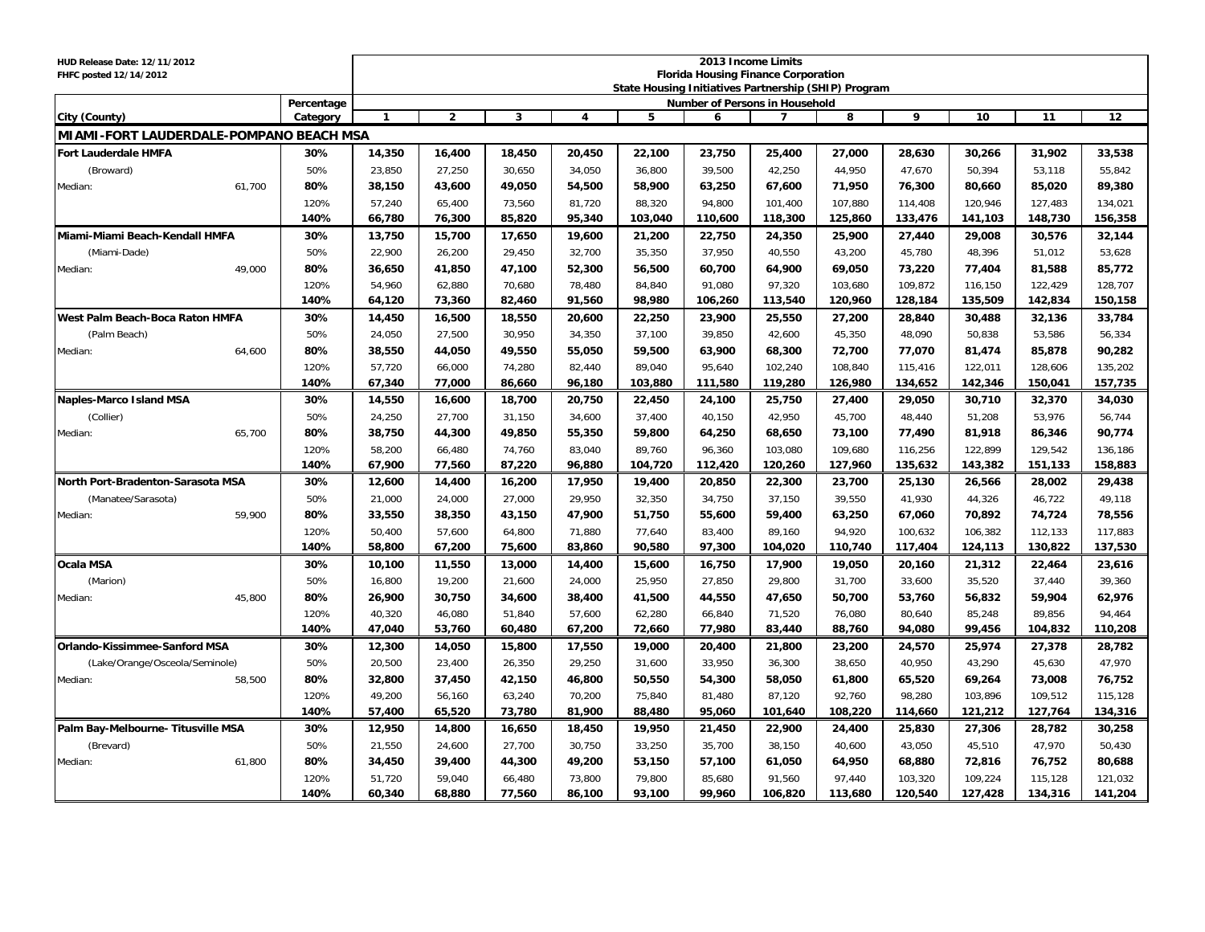| HUD Release Date: 12/11/2012<br>FHFC posted 12/14/2012 |               | 2013 Income Limits<br><b>Florida Housing Finance Corporation</b> |                |        |                         |         |                                                      |                |         |         |         |         |         |  |
|--------------------------------------------------------|---------------|------------------------------------------------------------------|----------------|--------|-------------------------|---------|------------------------------------------------------|----------------|---------|---------|---------|---------|---------|--|
|                                                        |               |                                                                  |                |        |                         |         | State Housing Initiatives Partnership (SHIP) Program |                |         |         |         |         |         |  |
|                                                        | Percentage    |                                                                  |                |        |                         |         | <b>Number of Persons in Household</b>                |                |         |         |         |         |         |  |
| City (County)                                          | Category      | $\mathbf{1}$                                                     | $\overline{2}$ | 3      | $\overline{\mathbf{4}}$ | 5       | 6                                                    | $\overline{7}$ | 8       | 9       | 10      | 11      | 12      |  |
| MIAMI-FORT LAUDERDALE-POMPANO BEACH MSA                |               |                                                                  |                |        |                         |         |                                                      |                |         |         |         |         |         |  |
| Fort Lauderdale HMFA                                   | 30%           | 14,350                                                           | 16,400         | 18,450 | 20,450                  | 22,100  | 23,750                                               | 25,400         | 27,000  | 28,630  | 30,266  | 31,902  | 33,538  |  |
| (Broward)                                              | 50%           | 23,850                                                           | 27,250         | 30,650 | 34,050                  | 36,800  | 39,500                                               | 42,250         | 44,950  | 47,670  | 50,394  | 53,118  | 55,842  |  |
| Median:                                                | 61,700<br>80% | 38,150                                                           | 43,600         | 49,050 | 54,500                  | 58,900  | 63,250                                               | 67,600         | 71,950  | 76,300  | 80,660  | 85,020  | 89,380  |  |
|                                                        | 120%          | 57,240                                                           | 65,400         | 73,560 | 81,720                  | 88,320  | 94,800                                               | 101,400        | 107,880 | 114,408 | 120,946 | 127,483 | 134,021 |  |
|                                                        | 140%          | 66,780                                                           | 76,300         | 85,820 | 95,340                  | 103,040 | 110,600                                              | 118,300        | 125,860 | 133,476 | 141,103 | 148,730 | 156,358 |  |
| Miami-Miami Beach-Kendall HMFA                         | 30%           | 13,750                                                           | 15,700         | 17,650 | 19,600                  | 21,200  | 22,750                                               | 24,350         | 25,900  | 27,440  | 29,008  | 30,576  | 32,144  |  |
| (Miami-Dade)                                           | 50%           | 22,900                                                           | 26,200         | 29,450 | 32,700                  | 35,350  | 37,950                                               | 40,550         | 43,200  | 45,780  | 48,396  | 51,012  | 53,628  |  |
| Median:                                                | 49,000<br>80% | 36,650                                                           | 41,850         | 47,100 | 52,300                  | 56,500  | 60,700                                               | 64,900         | 69,050  | 73,220  | 77,404  | 81,588  | 85,772  |  |
|                                                        | 120%          | 54,960                                                           | 62.880         | 70.680 | 78.480                  | 84.840  | 91.080                                               | 97,320         | 103,680 | 109,872 | 116.150 | 122,429 | 128.707 |  |
|                                                        | 140%          | 64,120                                                           | 73,360         | 82,460 | 91,560                  | 98,980  | 106,260                                              | 113,540        | 120,960 | 128,184 | 135,509 | 142,834 | 150,158 |  |
| West Palm Beach-Boca Raton HMFA                        | 30%           | 14,450                                                           | 16,500         | 18,550 | 20,600                  | 22,250  | 23,900                                               | 25,550         | 27,200  | 28,840  | 30,488  | 32,136  | 33,784  |  |
| (Palm Beach)                                           | 50%           | 24,050                                                           | 27,500         | 30,950 | 34,350                  | 37,100  | 39,850                                               | 42,600         | 45,350  | 48,090  | 50,838  | 53,586  | 56,334  |  |
| Median:                                                | 64,600<br>80% | 38,550                                                           | 44,050         | 49,550 | 55,050                  | 59,500  | 63,900                                               | 68,300         | 72,700  | 77,070  | 81,474  | 85,878  | 90,282  |  |
|                                                        | 120%          | 57,720                                                           | 66,000         | 74,280 | 82,440                  | 89.040  | 95,640                                               | 102,240        | 108,840 | 115,416 | 122,011 | 128,606 | 135,202 |  |
|                                                        | 140%          | 67,340                                                           | 77,000         | 86,660 | 96,180                  | 103,880 | 111,580                                              | 119,280        | 126,980 | 134,652 | 142,346 | 150,041 | 157,735 |  |
| <b>Naples-Marco Island MSA</b>                         | 30%           | 14,550                                                           | 16,600         | 18,700 | 20,750                  | 22,450  | 24,100                                               | 25,750         | 27,400  | 29,050  | 30,710  | 32,370  | 34,030  |  |
| (Collier)                                              | 50%           | 24,250                                                           | 27,700         | 31,150 | 34,600                  | 37,400  | 40,150                                               | 42,950         | 45,700  | 48,440  | 51,208  | 53,976  | 56,744  |  |
| Median:                                                | 65,700<br>80% | 38,750                                                           | 44,300         | 49.850 | 55,350                  | 59,800  | 64,250                                               | 68,650         | 73,100  | 77,490  | 81,918  | 86,346  | 90,774  |  |
|                                                        | 120%          | 58,200                                                           | 66,480         | 74,760 | 83,040                  | 89,760  | 96,360                                               | 103,080        | 109,680 | 116,256 | 122,899 | 129,542 | 136,186 |  |
|                                                        | 140%          | 67,900                                                           | 77,560         | 87,220 | 96,880                  | 104,720 | 112,420                                              | 120,260        | 127,960 | 135,632 | 143,382 | 151,133 | 158,883 |  |
| North Port-Bradenton-Sarasota MSA                      | 30%           | 12,600                                                           | 14,400         | 16,200 | 17,950                  | 19,400  | 20,850                                               | 22,300         | 23,700  | 25,130  | 26,566  | 28,002  | 29,438  |  |
| (Manatee/Sarasota)                                     | 50%           | 21,000                                                           | 24,000         | 27,000 | 29,950                  | 32,350  | 34,750                                               | 37,150         | 39,550  | 41,930  | 44,326  | 46,722  | 49,118  |  |
| Median:                                                | 59.900<br>80% | 33,550                                                           | 38,350         | 43,150 | 47,900                  | 51,750  | 55,600                                               | 59,400         | 63,250  | 67,060  | 70,892  | 74,724  | 78,556  |  |
|                                                        | 120%          | 50,400                                                           | 57,600         | 64,800 | 71,880                  | 77,640  | 83,400                                               | 89,160         | 94,920  | 100,632 | 106,382 | 112,133 | 117,883 |  |
|                                                        | 140%          | 58,800                                                           | 67,200         | 75,600 | 83,860                  | 90,580  | 97,300                                               | 104,020        | 110,740 | 117,404 | 124,113 | 130,822 | 137,530 |  |
| Ocala MSA                                              | 30%           | 10,100                                                           | 11,550         | 13,000 | 14,400                  | 15,600  | 16,750                                               | 17,900         | 19,050  | 20,160  | 21,312  | 22,464  | 23,616  |  |
| (Marion)                                               | 50%           | 16,800                                                           | 19,200         | 21,600 | 24,000                  | 25,950  | 27,850                                               | 29,800         | 31,700  | 33,600  | 35,520  | 37,440  | 39,360  |  |
| Median:                                                | 45,800<br>80% | 26,900                                                           | 30,750         | 34,600 | 38,400                  | 41,500  | 44,550                                               | 47,650         | 50,700  | 53,760  | 56,832  | 59,904  | 62,976  |  |
|                                                        | 120%          | 40,320                                                           | 46,080         | 51,840 | 57,600                  | 62,280  | 66,840                                               | 71,520         | 76,080  | 80,640  | 85,248  | 89,856  | 94,464  |  |
|                                                        | 140%          | 47,040                                                           | 53,760         | 60,480 | 67,200                  | 72,660  | 77,980                                               | 83,440         | 88,760  | 94,080  | 99,456  | 104,832 | 110,208 |  |
| Orlando-Kissimmee-Sanford MSA                          | 30%           | 12,300                                                           | 14,050         | 15,800 | 17,550                  | 19,000  | 20,400                                               | 21,800         | 23,200  | 24,570  | 25,974  | 27,378  | 28,782  |  |
| (Lake/Orange/Osceola/Seminole)                         | 50%           | 20,500                                                           | 23.400         | 26,350 | 29,250                  | 31,600  | 33,950                                               | 36,300         | 38,650  | 40,950  | 43,290  | 45,630  | 47,970  |  |
| Median:                                                | 80%<br>58,500 | 32,800                                                           | 37,450         | 42,150 | 46,800                  | 50,550  | 54,300                                               | 58,050         | 61,800  | 65,520  | 69,264  | 73,008  | 76,752  |  |
|                                                        | 120%          | 49,200                                                           | 56,160         | 63,240 | 70,200                  | 75.840  | 81.480                                               | 87,120         | 92,760  | 98,280  | 103.896 | 109,512 | 115.128 |  |
|                                                        | 140%          | 57,400                                                           | 65,520         | 73,780 | 81,900                  | 88,480  | 95,060                                               | 101,640        | 108,220 | 114,660 | 121,212 | 127,764 | 134,316 |  |
| Palm Bay-Melbourne- Titusville MSA                     | 30%           | 12,950                                                           | 14,800         | 16,650 | 18,450                  | 19,950  | 21,450                                               | 22,900         | 24,400  | 25,830  | 27,306  | 28,782  | 30,258  |  |
| (Brevard)                                              | 50%           | 21,550                                                           | 24,600         | 27,700 | 30,750                  | 33,250  | 35,700                                               | 38,150         | 40,600  | 43,050  | 45,510  | 47,970  | 50,430  |  |
| Median:                                                | 61,800<br>80% | 34,450                                                           | 39,400         | 44,300 | 49,200                  | 53,150  | 57,100                                               | 61,050         | 64,950  | 68,880  | 72,816  | 76,752  | 80,688  |  |
|                                                        | 120%          | 51,720                                                           | 59,040         | 66,480 | 73,800                  | 79,800  | 85,680                                               | 91.560         | 97.440  | 103,320 | 109,224 | 115,128 | 121,032 |  |
|                                                        | 140%          | 60,340                                                           | 68,880         | 77,560 | 86,100                  | 93,100  | 99,960                                               | 106,820        | 113,680 | 120,540 | 127,428 | 134,316 | 141,204 |  |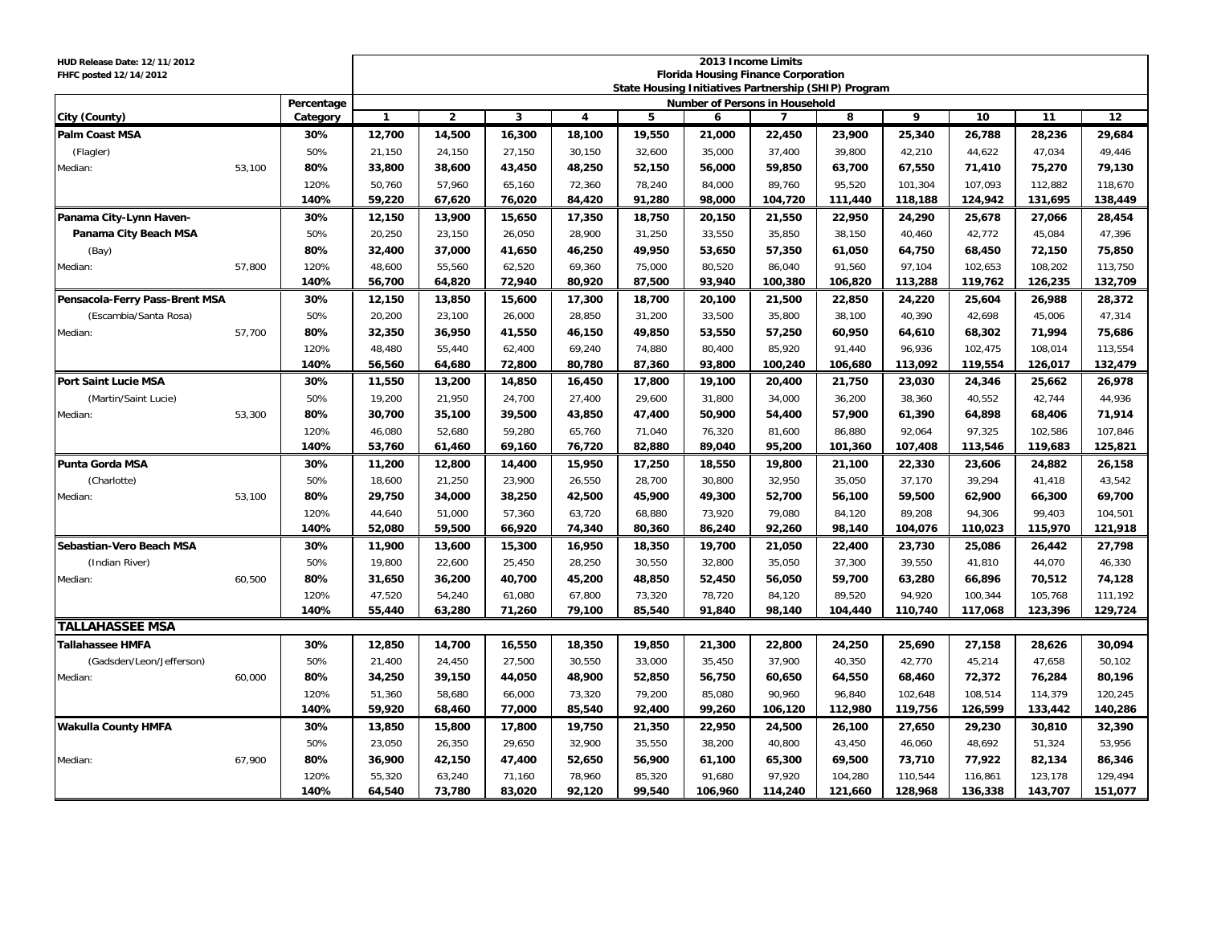| HUD Release Date: 12/11/2012<br>FHFC posted 12/14/2012 |        |            | 2013 Income Limits<br><b>Florida Housing Finance Corporation</b><br>State Housing Initiatives Partnership (SHIP) Program |              |        |        |        |         |                                |         |         |         |         |         |
|--------------------------------------------------------|--------|------------|--------------------------------------------------------------------------------------------------------------------------|--------------|--------|--------|--------|---------|--------------------------------|---------|---------|---------|---------|---------|
|                                                        |        | Percentage |                                                                                                                          |              |        |        |        |         | Number of Persons in Household |         |         |         |         |         |
| City (County)                                          |        | Category   | $\mathbf{1}$                                                                                                             | $\mathbf{2}$ | 3      | 4      | 5      | 6       | $\overline{7}$                 | 8       | 9       | 10      | 11      | 12      |
| <b>Palm Coast MSA</b>                                  |        | 30%        | 12,700                                                                                                                   | 14,500       | 16,300 | 18,100 | 19,550 | 21,000  | 22,450                         | 23,900  | 25,340  | 26,788  | 28,236  | 29,684  |
| (Flagler)                                              |        | 50%        | 21,150                                                                                                                   | 24,150       | 27,150 | 30,150 | 32,600 | 35,000  | 37,400                         | 39,800  | 42,210  | 44,622  | 47,034  | 49,446  |
| Median:                                                | 53.100 | 80%        | 33,800                                                                                                                   | 38,600       | 43,450 | 48,250 | 52,150 | 56.000  | 59,850                         | 63.700  | 67,550  | 71,410  | 75.270  | 79,130  |
|                                                        |        | 120%       | 50,760                                                                                                                   | 57,960       | 65,160 | 72,360 | 78,240 | 84,000  | 89,760                         | 95,520  | 101,304 | 107,093 | 112,882 | 118,670 |
|                                                        |        | 140%       | 59,220                                                                                                                   | 67,620       | 76,020 | 84,420 | 91,280 | 98,000  | 104,720                        | 111,440 | 118,188 | 124,942 | 131,695 | 138,449 |
| Panama City-Lynn Haven-                                |        | 30%        | 12,150                                                                                                                   | 13,900       | 15,650 | 17,350 | 18,750 | 20,150  | 21,550                         | 22,950  | 24,290  | 25,678  | 27,066  | 28,454  |
| Panama City Beach MSA                                  |        | 50%        | 20,250                                                                                                                   | 23,150       | 26,050 | 28,900 | 31,250 | 33,550  | 35,850                         | 38,150  | 40,460  | 42,772  | 45,084  | 47,396  |
| (Bay)                                                  |        | 80%        | 32,400                                                                                                                   | 37,000       | 41,650 | 46,250 | 49,950 | 53,650  | 57,350                         | 61,050  | 64,750  | 68,450  | 72,150  | 75,850  |
| Median:                                                | 57,800 | 120%       | 48,600                                                                                                                   | 55,560       | 62,520 | 69,360 | 75,000 | 80,520  | 86,040                         | 91,560  | 97,104  | 102,653 | 108,202 | 113,750 |
|                                                        |        | 140%       | 56,700                                                                                                                   | 64.820       | 72.940 | 80,920 | 87,500 | 93,940  | 100,380                        | 106,820 | 113,288 | 119,762 | 126,235 | 132,709 |
| Pensacola-Ferry Pass-Brent MSA<br>30%                  |        |            | 12,150                                                                                                                   | 13,850       | 15,600 | 17,300 | 18,700 | 20,100  | 21,500                         | 22,850  | 24,220  | 25,604  | 26,988  | 28,372  |
| (Escambia/Santa Rosa)                                  |        | 50%        | 20,200                                                                                                                   | 23,100       | 26,000 | 28,850 | 31,200 | 33,500  | 35,800                         | 38,100  | 40,390  | 42,698  | 45,006  | 47,314  |
| Median:                                                | 57,700 | 80%        | 32,350                                                                                                                   | 36,950       | 41,550 | 46,150 | 49,850 | 53,550  | 57,250                         | 60,950  | 64,610  | 68,302  | 71,994  | 75,686  |
|                                                        |        | 120%       | 48,480                                                                                                                   | 55,440       | 62,400 | 69,240 | 74,880 | 80,400  | 85,920                         | 91,440  | 96,936  | 102,475 | 108,014 | 113,554 |
|                                                        |        | 140%       | 56,560                                                                                                                   | 64,680       | 72,800 | 80,780 | 87,360 | 93,800  | 100,240                        | 106,680 | 113,092 | 119,554 | 126,017 | 132,479 |
| <b>Port Saint Lucie MSA</b>                            |        | 30%        | 11,550                                                                                                                   | 13,200       | 14,850 | 16,450 | 17,800 | 19,100  | 20,400                         | 21,750  | 23,030  | 24,346  | 25,662  | 26,978  |
| (Martin/Saint Lucie)                                   |        | 50%        | 19,200                                                                                                                   | 21,950       | 24,700 | 27,400 | 29,600 | 31,800  | 34,000                         | 36,200  | 38,360  | 40,552  | 42,744  | 44,936  |
| Median:                                                | 53,300 | 80%        | 30,700                                                                                                                   | 35,100       | 39,500 | 43,850 | 47,400 | 50,900  | 54,400                         | 57,900  | 61,390  | 64,898  | 68,406  | 71,914  |
|                                                        |        | 120%       | 46,080                                                                                                                   | 52,680       | 59,280 | 65,760 | 71.040 | 76,320  | 81,600                         | 86,880  | 92.064  | 97,325  | 102,586 | 107,846 |
|                                                        |        | 140%       | 53,760                                                                                                                   | 61,460       | 69,160 | 76,720 | 82,880 | 89,040  | 95,200                         | 101,360 | 107,408 | 113,546 | 119,683 | 125,821 |
| Punta Gorda MSA                                        |        | 30%        | 11,200                                                                                                                   | 12,800       | 14,400 | 15,950 | 17,250 | 18,550  | 19,800                         | 21,100  | 22,330  | 23,606  | 24,882  | 26,158  |
| (Charlotte)                                            |        | 50%        | 18,600                                                                                                                   | 21,250       | 23,900 | 26,550 | 28,700 | 30,800  | 32,950                         | 35,050  | 37,170  | 39,294  | 41,418  | 43,542  |
| Median:                                                | 53,100 | 80%        | 29,750                                                                                                                   | 34,000       | 38,250 | 42,500 | 45,900 | 49,300  | 52,700                         | 56,100  | 59,500  | 62,900  | 66,300  | 69,700  |
|                                                        |        | 120%       | 44,640                                                                                                                   | 51,000       | 57,360 | 63,720 | 68,880 | 73,920  | 79,080                         | 84,120  | 89,208  | 94,306  | 99,403  | 104,501 |
|                                                        |        | 140%       | 52,080                                                                                                                   | 59,500       | 66,920 | 74,340 | 80,360 | 86,240  | 92,260                         | 98,140  | 104,076 | 110,023 | 115,970 | 121,918 |
| Sebastian-Vero Beach MSA                               |        | 30%        | 11,900                                                                                                                   | 13,600       | 15,300 | 16,950 | 18,350 | 19,700  | 21,050                         | 22,400  | 23,730  | 25,086  | 26,442  | 27,798  |
| (Indian River)                                         |        | 50%        | 19,800                                                                                                                   | 22,600       | 25,450 | 28,250 | 30,550 | 32,800  | 35,050                         | 37,300  | 39,550  | 41,810  | 44,070  | 46,330  |
| Median:                                                | 60,500 | 80%        | 31,650                                                                                                                   | 36,200       | 40,700 | 45,200 | 48,850 | 52,450  | 56,050                         | 59,700  | 63,280  | 66,896  | 70,512  | 74,128  |
|                                                        |        | 120%       | 47,520                                                                                                                   | 54,240       | 61,080 | 67,800 | 73,320 | 78,720  | 84,120                         | 89,520  | 94,920  | 100,344 | 105,768 | 111,192 |
|                                                        |        | 140%       | 55,440                                                                                                                   | 63,280       | 71,260 | 79,100 | 85,540 | 91,840  | 98,140                         | 104,440 | 110,740 | 117,068 | 123,396 | 129,724 |
| <b>TALLAHASSEE MSA</b>                                 |        |            |                                                                                                                          |              |        |        |        |         |                                |         |         |         |         |         |
| <b>Tallahassee HMFA</b>                                |        | 30%        | 12,850                                                                                                                   | 14,700       | 16,550 | 18,350 | 19,850 | 21,300  | 22,800                         | 24,250  | 25,690  | 27,158  | 28,626  | 30,094  |
| (Gadsden/Leon/Jefferson)                               |        | 50%        | 21,400                                                                                                                   | 24,450       | 27,500 | 30,550 | 33,000 | 35,450  | 37,900                         | 40,350  | 42,770  | 45,214  | 47,658  | 50,102  |
| Median:                                                | 60.000 | 80%        | 34,250                                                                                                                   | 39,150       | 44,050 | 48,900 | 52,850 | 56,750  | 60,650                         | 64,550  | 68,460  | 72,372  | 76,284  | 80,196  |
|                                                        |        | 120%       | 51,360                                                                                                                   | 58,680       | 66,000 | 73,320 | 79,200 | 85,080  | 90,960                         | 96,840  | 102,648 | 108,514 | 114,379 | 120,245 |
|                                                        |        | 140%       | 59,920                                                                                                                   | 68,460       | 77,000 | 85,540 | 92,400 | 99,260  | 106,120                        | 112,980 | 119,756 | 126,599 | 133,442 | 140,286 |
| <b>Wakulla County HMFA</b>                             |        | 30%        | 13,850                                                                                                                   | 15,800       | 17,800 | 19.750 | 21,350 | 22,950  | 24,500                         | 26,100  | 27,650  | 29,230  | 30,810  | 32,390  |
|                                                        |        | 50%        | 23,050                                                                                                                   | 26,350       | 29,650 | 32,900 | 35,550 | 38,200  | 40,800                         | 43,450  | 46,060  | 48,692  | 51,324  | 53,956  |
| Median:                                                | 67,900 | 80%        | 36,900                                                                                                                   | 42,150       | 47,400 | 52,650 | 56,900 | 61,100  | 65,300                         | 69,500  | 73,710  | 77,922  | 82,134  | 86,346  |
|                                                        |        | 120%       | 55,320                                                                                                                   | 63,240       | 71,160 | 78,960 | 85,320 | 91,680  | 97,920                         | 104,280 | 110,544 | 116,861 | 123,178 | 129,494 |
|                                                        |        | 140%       | 64,540                                                                                                                   | 73,780       | 83,020 | 92,120 | 99,540 | 106,960 | 114,240                        | 121,660 | 128,968 | 136,338 | 143,707 | 151,077 |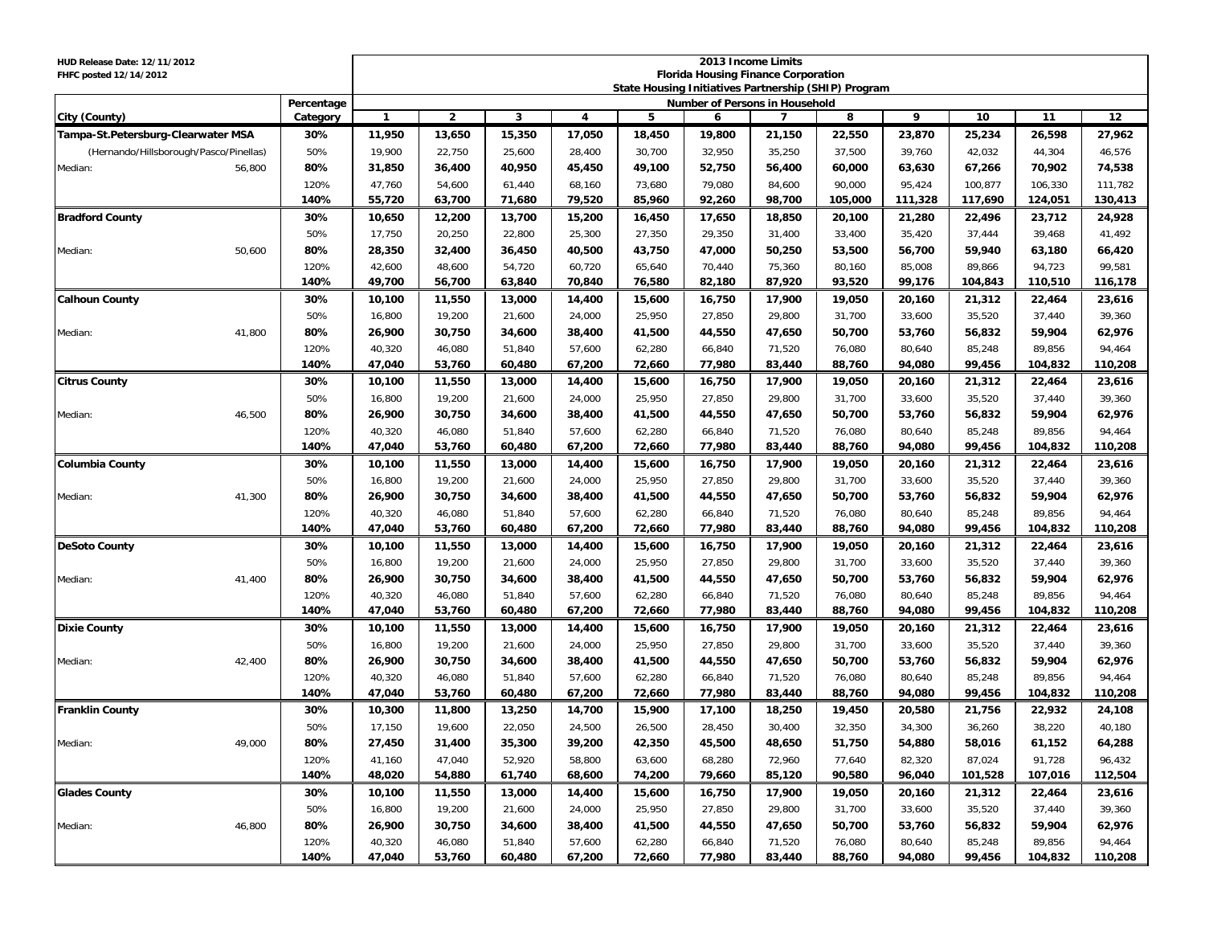| HUD Release Date: 12/11/2012<br>FHFC posted 12/14/2012 |            | 2013 Income Limits<br><b>Florida Housing Finance Corporation</b><br>State Housing Initiatives Partnership (SHIP) Program |                |        |        |        |        |                                |         |         |         |         |         |
|--------------------------------------------------------|------------|--------------------------------------------------------------------------------------------------------------------------|----------------|--------|--------|--------|--------|--------------------------------|---------|---------|---------|---------|---------|
|                                                        | Percentage |                                                                                                                          |                |        |        |        |        | Number of Persons in Household |         |         |         |         |         |
| City (County)                                          | Category   | $\mathbf{1}$                                                                                                             | $\overline{2}$ | 3      | 4      | 5      | 6      | $\overline{7}$                 | 8       | 9       | 10      | 11      | 12      |
| Tampa-St.Petersburg-Clearwater MSA                     | 30%        | 11,950                                                                                                                   | 13,650         | 15,350 | 17,050 | 18,450 | 19,800 | 21,150                         | 22,550  | 23,870  | 25,234  | 26,598  | 27,962  |
| (Hernando/Hillsborough/Pasco/Pinellas)                 | 50%        | 19,900                                                                                                                   | 22,750         | 25,600 | 28,400 | 30,700 | 32,950 | 35,250                         | 37,500  | 39,760  | 42,032  | 44,304  | 46,576  |
| Median:<br>56,800                                      | 80%        | 31,850                                                                                                                   | 36,400         | 40,950 | 45,450 | 49,100 | 52,750 | 56,400                         | 60,000  | 63,630  | 67,266  | 70,902  | 74,538  |
|                                                        | 120%       | 47,760                                                                                                                   | 54,600         | 61,440 | 68,160 | 73,680 | 79,080 | 84,600                         | 90,000  | 95,424  | 100,877 | 106,330 | 111,782 |
|                                                        | 140%       | 55,720                                                                                                                   | 63,700         | 71,680 | 79,520 | 85,960 | 92,260 | 98,700                         | 105,000 | 111,328 | 117,690 | 124,051 | 130,413 |
| <b>Bradford County</b>                                 | 30%        | 10,650                                                                                                                   | 12,200         | 13,700 | 15,200 | 16,450 | 17,650 | 18,850                         | 20,100  | 21,280  | 22,496  | 23,712  | 24,928  |
|                                                        | 50%        | 17,750                                                                                                                   | 20,250         | 22,800 | 25,300 | 27,350 | 29,350 | 31,400                         | 33,400  | 35,420  | 37,444  | 39,468  | 41,492  |
| 50,600<br>Median:                                      | 80%        | 28,350                                                                                                                   | 32,400         | 36,450 | 40,500 | 43,750 | 47,000 | 50,250                         | 53,500  | 56,700  | 59,940  | 63,180  | 66,420  |
|                                                        | 120%       | 42,600                                                                                                                   | 48,600         | 54,720 | 60,720 | 65,640 | 70,440 | 75,360                         | 80,160  | 85,008  | 89,866  | 94,723  | 99,581  |
|                                                        | 140%       | 49,700                                                                                                                   | 56,700         | 63,840 | 70,840 | 76,580 | 82,180 | 87,920                         | 93,520  | 99,176  | 104,843 | 110,510 | 116,178 |
| <b>Calhoun County</b>                                  | 30%        | 10,100                                                                                                                   | 11,550         | 13,000 | 14,400 | 15,600 | 16,750 | 17,900                         | 19,050  | 20,160  | 21,312  | 22,464  | 23,616  |
|                                                        | 50%        | 16,800                                                                                                                   | 19,200         | 21,600 | 24,000 | 25,950 | 27,850 | 29,800                         | 31,700  | 33,600  | 35,520  | 37,440  | 39,360  |
| 41,800<br>Median:                                      | 80%        | 26,900                                                                                                                   | 30,750         | 34,600 | 38,400 | 41,500 | 44,550 | 47,650                         | 50,700  | 53,760  | 56,832  | 59,904  | 62,976  |
|                                                        | 120%       | 40,320                                                                                                                   | 46,080         | 51,840 | 57,600 | 62,280 | 66,840 | 71,520                         | 76,080  | 80,640  | 85,248  | 89,856  | 94,464  |
|                                                        | 140%       | 47,040                                                                                                                   | 53,760         | 60,480 | 67,200 | 72,660 | 77,980 | 83,440                         | 88,760  | 94,080  | 99,456  | 104,832 | 110,208 |
| <b>Citrus County</b>                                   | 30%        | 10,100                                                                                                                   | 11,550         | 13,000 | 14,400 | 15,600 | 16,750 | 17,900                         | 19,050  | 20,160  | 21,312  | 22,464  | 23,616  |
|                                                        | 50%        | 16,800                                                                                                                   | 19,200         | 21,600 | 24,000 | 25,950 | 27,850 | 29,800                         | 31,700  | 33,600  | 35,520  | 37,440  | 39,360  |
| 46,500<br>Median:                                      | 80%        | 26,900                                                                                                                   | 30,750         | 34,600 | 38,400 | 41,500 | 44,550 | 47,650                         | 50,700  | 53,760  | 56,832  | 59,904  | 62,976  |
|                                                        | 120%       | 40,320                                                                                                                   | 46,080         | 51,840 | 57,600 | 62,280 | 66,840 | 71,520                         | 76,080  | 80,640  | 85,248  | 89,856  | 94,464  |
|                                                        | 140%       | 47,040                                                                                                                   | 53,760         | 60,480 | 67,200 | 72,660 | 77,980 | 83,440                         | 88,760  | 94,080  | 99,456  | 104,832 | 110,208 |
| <b>Columbia County</b>                                 | 30%        | 10,100                                                                                                                   | 11,550         | 13,000 | 14,400 | 15,600 | 16,750 | 17,900                         | 19,050  | 20,160  | 21,312  | 22,464  | 23,616  |
|                                                        | 50%        | 16,800                                                                                                                   | 19,200         | 21,600 | 24,000 | 25,950 | 27,850 | 29,800                         | 31,700  | 33,600  | 35,520  | 37,440  | 39,360  |
| 41,300<br>Median:                                      | 80%        | 26,900                                                                                                                   | 30,750         | 34,600 | 38,400 | 41,500 | 44,550 | 47,650                         | 50,700  | 53,760  | 56,832  | 59,904  | 62,976  |
|                                                        | 120%       | 40,320                                                                                                                   | 46,080         | 51,840 | 57,600 | 62,280 | 66,840 | 71,520                         | 76,080  | 80,640  | 85,248  | 89,856  | 94,464  |
|                                                        | 140%       | 47,040                                                                                                                   | 53,760         | 60,480 | 67,200 | 72,660 | 77,980 | 83,440                         | 88,760  | 94,080  | 99,456  | 104,832 | 110,208 |
| <b>DeSoto County</b>                                   | 30%        | 10,100                                                                                                                   | 11,550         | 13,000 | 14,400 | 15,600 | 16,750 | 17,900                         | 19,050  | 20,160  | 21,312  | 22,464  | 23,616  |
|                                                        | 50%        | 16,800                                                                                                                   | 19,200         | 21,600 | 24,000 | 25,950 | 27,850 | 29,800                         | 31,700  | 33,600  | 35,520  | 37,440  | 39,360  |
| 41,400<br>Median:                                      | 80%        | 26,900                                                                                                                   | 30,750         | 34,600 | 38,400 | 41,500 | 44,550 | 47,650                         | 50,700  | 53,760  | 56,832  | 59,904  | 62,976  |
|                                                        | 120%       | 40,320                                                                                                                   | 46,080         | 51,840 | 57,600 | 62,280 | 66,840 | 71,520                         | 76,080  | 80,640  | 85,248  | 89,856  | 94,464  |
|                                                        | 140%       | 47,040                                                                                                                   | 53,760         | 60,480 | 67,200 | 72,660 | 77,980 | 83,440                         | 88,760  | 94,080  | 99,456  | 104,832 | 110,208 |
| <b>Dixie County</b>                                    | 30%        | 10,100                                                                                                                   | 11,550         | 13,000 | 14,400 | 15,600 | 16,750 | 17,900                         | 19,050  | 20,160  | 21,312  | 22,464  | 23,616  |
|                                                        | 50%        | 16,800                                                                                                                   | 19,200         | 21,600 | 24,000 | 25,950 | 27,850 | 29,800                         | 31,700  | 33,600  | 35,520  | 37,440  | 39,360  |
| 42,400<br>Median:                                      | 80%        | 26,900                                                                                                                   | 30,750         | 34,600 | 38,400 | 41,500 | 44,550 | 47,650                         | 50,700  | 53,760  | 56,832  | 59,904  | 62,976  |
|                                                        | 120%       | 40,320                                                                                                                   | 46,080         | 51,840 | 57,600 | 62,280 | 66,840 | 71,520                         | 76,080  | 80,640  | 85,248  | 89,856  | 94,464  |
|                                                        | 140%       | 47,040                                                                                                                   | 53,760         | 60,480 | 67,200 | 72,660 | 77,980 | 83,440                         | 88,760  | 94,080  | 99,456  | 104,832 | 110,208 |
| <b>Franklin County</b>                                 | 30%        | 10,300                                                                                                                   | 11,800         | 13,250 | 14,700 | 15,900 | 17,100 | 18,250                         | 19,450  | 20,580  | 21,756  | 22,932  | 24,108  |
|                                                        | 50%        | 17,150                                                                                                                   | 19,600         | 22,050 | 24,500 | 26,500 | 28,450 | 30,400                         | 32,350  | 34,300  | 36,260  | 38,220  | 40,180  |
| Median:<br>49,000                                      | 80%        | 27,450                                                                                                                   | 31,400         | 35,300 | 39,200 | 42,350 | 45,500 | 48,650                         | 51,750  | 54,880  | 58,016  | 61,152  | 64,288  |
|                                                        | 120%       | 41,160                                                                                                                   | 47,040         | 52,920 | 58,800 | 63,600 | 68,280 | 72,960                         | 77,640  | 82,320  | 87,024  | 91,728  | 96,432  |
|                                                        | 140%       | 48,020                                                                                                                   | 54,880         | 61,740 | 68,600 | 74,200 | 79,660 | 85,120                         | 90,580  | 96,040  | 101,528 | 107,016 | 112,504 |
| <b>Glades County</b>                                   | 30%        | 10,100                                                                                                                   | 11,550         | 13,000 | 14,400 | 15,600 | 16,750 | 17,900                         | 19,050  | 20,160  | 21,312  | 22,464  | 23,616  |
|                                                        | 50%        | 16,800                                                                                                                   | 19,200         | 21,600 | 24,000 | 25,950 | 27,850 | 29,800                         | 31,700  | 33,600  | 35,520  | 37,440  | 39,360  |
| 46,800<br>Median:                                      | 80%        | 26,900                                                                                                                   | 30,750         | 34,600 | 38,400 | 41,500 | 44,550 | 47,650                         | 50,700  | 53,760  | 56,832  | 59,904  | 62,976  |
|                                                        | 120%       | 40,320                                                                                                                   | 46,080         | 51,840 | 57,600 | 62,280 | 66,840 | 71,520                         | 76,080  | 80,640  | 85,248  | 89,856  | 94,464  |
|                                                        | 140%       | 47,040                                                                                                                   | 53,760         | 60,480 | 67,200 | 72,660 | 77,980 | 83,440                         | 88,760  | 94,080  | 99,456  | 104,832 | 110,208 |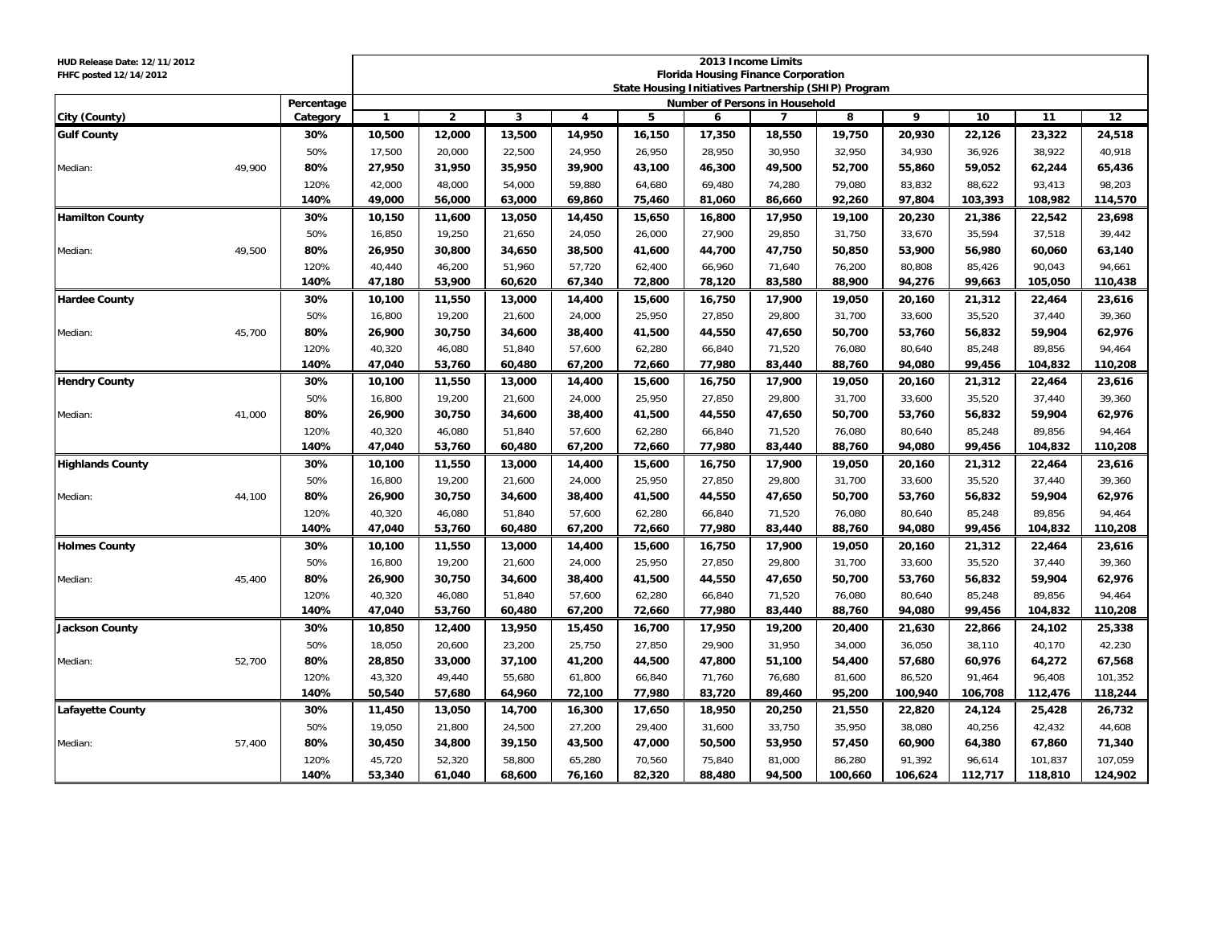| HUD Release Date: 12/11/2012 |        |             | 2013 Income Limits                                                                                 |                  |                  |                  |                  |                                |                  |                  |                  |                  |                   |                  |
|------------------------------|--------|-------------|----------------------------------------------------------------------------------------------------|------------------|------------------|------------------|------------------|--------------------------------|------------------|------------------|------------------|------------------|-------------------|------------------|
| FHFC posted 12/14/2012       |        |             | <b>Florida Housing Finance Corporation</b><br>State Housing Initiatives Partnership (SHIP) Program |                  |                  |                  |                  |                                |                  |                  |                  |                  |                   |                  |
|                              |        | Percentage  |                                                                                                    |                  |                  |                  |                  | Number of Persons in Household |                  |                  |                  |                  |                   |                  |
| City (County)                |        | Category    | $\mathbf{1}$                                                                                       | $\overline{2}$   | 3                | 4                | 5                | 6                              | $\overline{7}$   | 8                | 9                | 10               | 11                | 12               |
| <b>Gulf County</b>           |        | 30%         | 10,500                                                                                             | 12,000           | 13,500           | 14,950           | 16,150           | 17,350                         | 18,550           | 19,750           | 20,930           | 22,126           | 23,322            | 24,518           |
|                              |        | 50%         | 17,500                                                                                             | 20,000           | 22,500           | 24,950           | 26,950           | 28,950                         | 30,950           | 32,950           | 34,930           | 36,926           | 38,922            | 40,918           |
| Median:                      | 49.900 | 80%         | 27,950                                                                                             | 31,950           | 35,950           | 39,900           | 43,100           | 46,300                         | 49,500           | 52,700           | 55,860           | 59,052           | 62,244            | 65,436           |
|                              |        | 120%        | 42,000                                                                                             | 48,000           | 54,000           | 59,880           | 64,680           | 69.480                         | 74,280           | 79,080           | 83,832           | 88.622           | 93.413            | 98,203           |
|                              |        | 140%        | 49,000                                                                                             | 56,000           | 63,000           | 69,860           | 75,460           | 81,060                         | 86,660           | 92,260           | 97,804           | 103,393          | 108,982           | 114,570          |
| <b>Hamilton County</b>       |        | 30%         | 10,150                                                                                             | 11,600           | 13,050           | 14,450           | 15,650           | 16,800                         | 17,950           | 19,100           | 20,230           | 21,386           | 22,542            | 23,698           |
|                              |        | 50%         | 16,850                                                                                             | 19,250           | 21,650           | 24,050           | 26,000           | 27,900                         | 29,850           | 31,750           | 33,670           | 35,594           | 37,518            | 39,442           |
| Median:                      | 49,500 | 80%         | 26,950                                                                                             | 30,800           | 34,650           | 38,500           | 41,600           | 44,700                         | 47,750           | 50,850           | 53,900           | 56,980           | 60,060            | 63,140           |
|                              |        | 120%        | 40,440                                                                                             | 46,200           | 51,960           | 57,720           | 62,400           | 66,960                         | 71,640           | 76,200           | 80,808           | 85,426           | 90,043            | 94,661           |
|                              |        | 140%        | 47.180                                                                                             | 53,900           | 60,620           | 67,340           | 72.800           | 78.120                         | 83.580           | 88,900           | 94.276           | 99.663           | 105.050           | 110,438          |
| <b>Hardee County</b>         |        | 30%         | 10,100                                                                                             | 11,550           | 13,000           | 14,400           | 15,600           | 16,750                         | 17,900           | 19,050           | 20,160           | 21,312           | 22,464            | 23,616           |
|                              |        | 50%         | 16,800                                                                                             | 19,200           | 21,600           | 24,000           | 25,950           | 27,850                         | 29,800           | 31,700           | 33,600           | 35,520           | 37,440            | 39,360           |
| Median:                      | 45,700 | 80%         | 26,900                                                                                             | 30,750           | 34,600           | 38,400           | 41,500           | 44,550                         | 47,650           | 50,700           | 53,760           | 56,832           | 59,904            | 62,976           |
|                              |        | 120%        | 40,320                                                                                             | 46,080           | 51.840           | 57,600           | 62,280           | 66,840                         | 71,520           | 76,080           | 80,640           | 85,248           | 89,856            | 94,464           |
|                              |        | 140%        | 47,040                                                                                             | 53,760           | 60,480           | 67,200           | 72,660           | 77,980                         | 83,440           | 88,760           | 94,080           | 99,456           | 104,832           | 110,208          |
| <b>Hendry County</b>         |        | 30%         | 10,100                                                                                             | 11,550           | 13,000           | 14,400           | 15,600           | 16,750                         | 17,900           | 19,050           | 20,160           | 21,312           | 22,464            | 23,616           |
|                              |        | 50%         | 16,800                                                                                             | 19,200           | 21,600           | 24,000           | 25,950           | 27,850                         | 29,800           | 31,700           | 33,600           | 35,520           | 37,440            | 39,360           |
| Median:                      | 41,000 | 80%         | 26,900                                                                                             | 30,750           | 34,600           | 38,400           | 41,500           | 44,550                         | 47,650           | 50,700           | 53,760           | 56,832           | 59,904            | 62,976           |
|                              |        | 120%        | 40,320                                                                                             | 46,080           | 51,840           | 57,600           | 62,280           | 66,840                         | 71,520           | 76,080           | 80,640           | 85,248           | 89,856            | 94,464           |
|                              |        | 140%        | 47.040                                                                                             | 53.760           | 60,480           | 67,200           | 72,660           | 77.980                         | 83,440           | 88,760           | 94.080           | 99,456           | 104,832           | 110,208          |
| <b>Highlands County</b>      |        | 30%         | 10,100                                                                                             | 11,550           | 13,000           | 14,400           | 15,600           | 16,750                         | 17,900           | 19,050           | 20,160           | 21,312           | 22,464            | 23,616           |
|                              |        | 50%         | 16,800                                                                                             | 19,200           | 21,600           | 24,000           | 25,950           | 27,850                         | 29,800           | 31,700           | 33,600           | 35,520           | 37,440            | 39,360           |
| Median:                      | 44,100 | 80%         | 26,900                                                                                             | 30,750           | 34,600           | 38,400           | 41,500           | 44,550                         | 47,650           | 50,700           | 53,760           | 56,832           | 59,904            | 62,976           |
|                              |        | 120%        | 40,320                                                                                             | 46,080           | 51,840           | 57,600           | 62,280           | 66,840                         | 71,520           | 76,080           | 80,640           | 85,248           | 89,856            | 94,464           |
|                              |        | 140%        | 47,040                                                                                             | 53,760           | 60,480           | 67,200           | 72,660           | 77,980                         | 83,440           | 88,760           | 94,080           | 99,456           | 104,832           | 110,208          |
| <b>Holmes County</b>         |        | 30%         | 10,100                                                                                             | 11,550           | 13,000           | 14,400           | 15,600           | 16,750                         | 17,900           | 19,050           | 20,160           | 21,312           | 22,464            | 23,616           |
|                              |        | 50%         | 16,800                                                                                             | 19,200           | 21,600           | 24,000           | 25,950           | 27,850                         | 29,800           | 31,700           | 33,600           | 35,520           | 37,440            | 39,360           |
| Median:                      | 45,400 | 80%<br>120% | 26,900<br>40.320                                                                                   | 30,750<br>46.080 | 34,600<br>51.840 | 38,400           | 41,500<br>62.280 | 44,550<br>66.840               | 47,650<br>71.520 | 50,700           | 53,760<br>80.640 | 56,832<br>85.248 | 59,904            | 62,976<br>94.464 |
|                              |        | 140%        | 47,040                                                                                             | 53,760           | 60,480           | 57.600<br>67,200 | 72,660           | 77,980                         | 83,440           | 76.080<br>88,760 | 94,080           | 99,456           | 89.856<br>104,832 | 110,208          |
| <b>Jackson County</b>        |        | 30%         | 10,850                                                                                             | 12,400           | 13,950           | 15,450           | 16,700           | 17,950                         | 19,200           | 20,400           | 21,630           | 22,866           | 24,102            | 25,338           |
|                              |        | 50%         | 18,050                                                                                             | 20,600           | 23,200           | 25,750           | 27,850           | 29,900                         | 31,950           | 34,000           | 36,050           | 38,110           | 40,170            | 42,230           |
| Median:                      | 52,700 | 80%         | 28,850                                                                                             | 33,000           | 37,100           | 41,200           | 44,500           | 47,800                         | 51,100           | 54,400           | 57,680           | 60,976           | 64,272            | 67,568           |
|                              |        | 120%        | 43,320                                                                                             | 49,440           | 55,680           | 61,800           | 66,840           | 71,760                         | 76,680           | 81,600           | 86,520           | 91,464           | 96,408            | 101,352          |
|                              |        | 140%        | 50,540                                                                                             | 57,680           | 64,960           | 72,100           | 77,980           | 83,720                         | 89,460           | 95,200           | 100,940          | 106,708          | 112,476           | 118,244          |
| <b>Lafayette County</b>      |        | 30%         | 11,450                                                                                             | 13,050           | 14,700           | 16,300           | 17,650           | 18,950                         | 20,250           | 21,550           | 22,820           | 24,124           | 25,428            | 26,732           |
|                              |        | 50%         | 19,050                                                                                             | 21,800           | 24,500           | 27,200           | 29,400           | 31,600                         | 33,750           | 35,950           | 38,080           | 40,256           | 42,432            | 44,608           |
| Median:                      | 57,400 | 80%         | 30,450                                                                                             | 34,800           | 39,150           | 43,500           | 47,000           | 50,500                         | 53,950           | 57,450           | 60,900           | 64,380           | 67,860            | 71,340           |
|                              |        | 120%        | 45,720                                                                                             | 52,320           | 58,800           | 65,280           | 70,560           | 75,840                         | 81,000           | 86,280           | 91,392           | 96,614           | 101,837           | 107,059          |
|                              |        | 140%        | 53,340                                                                                             | 61,040           | 68,600           | 76,160           | 82,320           | 88,480                         | 94,500           | 100,660          | 106,624          | 112,717          | 118,810           | 124,902          |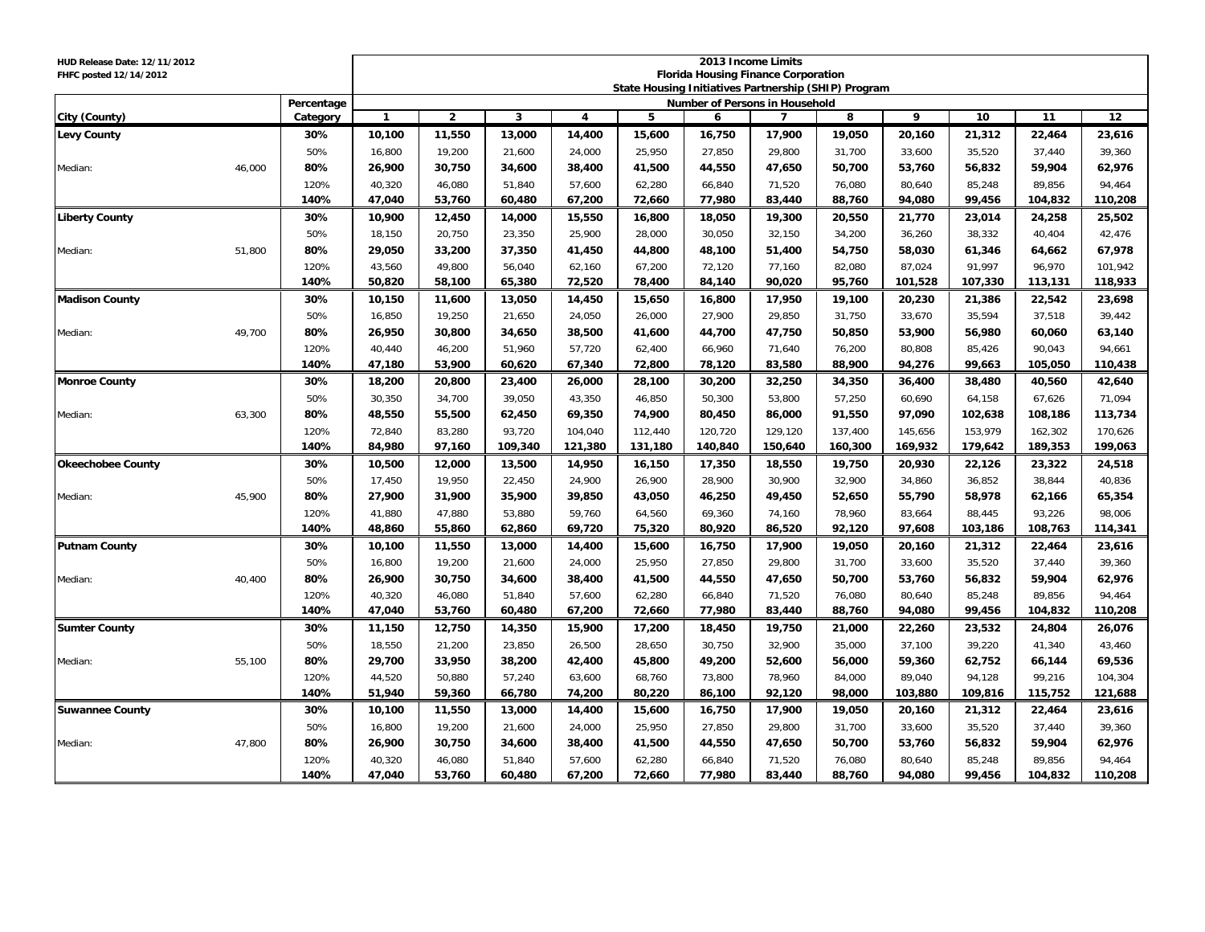| HUD Release Date: 12/11/2012 |        |              | 2013 Income Limits<br><b>Florida Housing Finance Corporation</b> |                |         |                         |         |                                |                |         |         |         |         |         |
|------------------------------|--------|--------------|------------------------------------------------------------------|----------------|---------|-------------------------|---------|--------------------------------|----------------|---------|---------|---------|---------|---------|
| FHFC posted 12/14/2012       |        |              | State Housing Initiatives Partnership (SHIP) Program             |                |         |                         |         |                                |                |         |         |         |         |         |
|                              |        | Percentage   |                                                                  |                |         |                         |         | Number of Persons in Household |                |         |         |         |         |         |
| City (County)                |        | Category     | $\mathbf{1}$                                                     | $\overline{2}$ | 3       | $\overline{\mathbf{4}}$ | 5       | 6                              | $\overline{7}$ | 8       | 9       | 10      | 11      | 12      |
| <b>Levy County</b>           |        | 30%          | 10,100                                                           | 11,550         | 13,000  | 14,400                  | 15,600  | 16,750                         | 17,900         | 19,050  | 20,160  | 21,312  | 22,464  | 23,616  |
|                              |        | 50%          | 16,800                                                           | 19,200         | 21,600  | 24,000                  | 25,950  | 27,850                         | 29,800         | 31,700  | 33,600  | 35,520  | 37,440  | 39,360  |
| Median:                      | 46,000 | 80%          | 26,900                                                           | 30,750         | 34,600  | 38,400                  | 41,500  | 44,550                         | 47,650         | 50,700  | 53,760  | 56,832  | 59,904  | 62,976  |
|                              |        | 120%         | 40,320                                                           | 46,080         | 51,840  | 57,600                  | 62,280  | 66,840                         | 71,520         | 76,080  | 80,640  | 85,248  | 89,856  | 94,464  |
|                              |        | 140%         | 47,040                                                           | 53,760         | 60,480  | 67,200                  | 72,660  | 77,980                         | 83,440         | 88,760  | 94,080  | 99,456  | 104,832 | 110,208 |
| <b>Liberty County</b>        |        | 30%          | 10,900                                                           | 12,450         | 14,000  | 15,550                  | 16,800  | 18,050                         | 19,300         | 20,550  | 21,770  | 23,014  | 24,258  | 25,502  |
|                              |        | 50%          | 18,150                                                           | 20.750         | 23,350  | 25.900                  | 28,000  | 30.050                         | 32.150         | 34,200  | 36,260  | 38,332  | 40,404  | 42,476  |
| Median:                      | 51,800 | 80%          | 29,050                                                           | 33,200         | 37,350  | 41,450                  | 44,800  | 48,100                         | 51,400         | 54,750  | 58,030  | 61,346  | 64,662  | 67,978  |
|                              |        | 120%         | 43,560                                                           | 49,800         | 56,040  | 62,160                  | 67,200  | 72,120                         | 77,160         | 82,080  | 87,024  | 91,997  | 96,970  | 101,942 |
|                              |        | 140%         | 50,820                                                           | 58,100         | 65,380  | 72,520                  | 78,400  | 84,140                         | 90,020         | 95,760  | 101,528 | 107,330 | 113,131 | 118,933 |
| <b>Madison County</b>        |        | 30%          | 10,150                                                           | 11,600         | 13,050  | 14,450                  | 15,650  | 16,800                         | 17,950         | 19,100  | 20,230  | 21,386  | 22,542  | 23,698  |
|                              |        | 50%          | 16,850                                                           | 19,250         | 21,650  | 24,050                  | 26,000  | 27,900                         | 29,850         | 31,750  | 33,670  | 35,594  | 37,518  | 39,442  |
| Median:                      | 49.700 | 80%          | 26,950                                                           | 30,800         | 34,650  | 38,500                  | 41,600  | 44,700                         | 47,750         | 50,850  | 53,900  | 56,980  | 60,060  | 63,140  |
|                              |        | 120%         | 40,440                                                           | 46,200         | 51.960  | 57,720                  | 62,400  | 66,960                         | 71,640         | 76,200  | 80,808  | 85,426  | 90,043  | 94,661  |
|                              |        | 140%         | 47,180                                                           | 53,900         | 60,620  | 67,340                  | 72,800  | 78,120                         | 83,580         | 88,900  | 94,276  | 99,663  | 105,050 | 110,438 |
| <b>Monroe County</b>         |        | 30%          | 18,200                                                           | 20,800         | 23,400  | 26,000                  | 28,100  | 30,200                         | 32,250         | 34,350  | 36,400  | 38,480  | 40,560  | 42,640  |
|                              |        | 50%          | 30,350                                                           | 34,700         | 39,050  | 43,350                  | 46,850  | 50,300                         | 53,800         | 57,250  | 60,690  | 64,158  | 67,626  | 71,094  |
| Median:                      | 63,300 | 80%          | 48,550                                                           | 55,500         | 62,450  | 69,350                  | 74,900  | 80,450                         | 86,000         | 91,550  | 97,090  | 102,638 | 108,186 | 113,734 |
|                              |        | 120%         | 72,840                                                           | 83,280         | 93,720  | 104,040                 | 112,440 | 120,720                        | 129,120        | 137,400 | 145,656 | 153,979 | 162,302 | 170,626 |
|                              |        | 140%         | 84,980                                                           | 97,160         | 109,340 | 121,380                 | 131,180 | 140,840                        | 150,640        | 160,300 | 169,932 | 179,642 | 189,353 | 199,063 |
| <b>Okeechobee County</b>     |        | 30%          | 10,500                                                           | 12,000         | 13,500  | 14,950                  | 16,150  | 17,350                         | 18,550         | 19,750  | 20,930  | 22,126  | 23,322  | 24,518  |
|                              |        | 50%          | 17,450                                                           | 19,950         | 22,450  | 24,900                  | 26,900  | 28,900                         | 30,900         | 32,900  | 34,860  | 36,852  | 38,844  | 40,836  |
| Median:                      | 45,900 | 80%          | 27,900                                                           | 31,900         | 35,900  | 39,850                  | 43,050  | 46,250                         | 49,450         | 52,650  | 55,790  | 58,978  | 62,166  | 65,354  |
|                              |        | 120%         | 41,880                                                           | 47,880         | 53,880  | 59,760                  | 64,560  | 69,360                         | 74,160         | 78,960  | 83,664  | 88,445  | 93,226  | 98,006  |
|                              |        | 140%         | 48,860                                                           | 55,860         | 62,860  | 69,720                  | 75,320  | 80,920                         | 86,520         | 92,120  | 97.608  | 103,186 | 108,763 | 114,341 |
| <b>Putnam County</b>         |        | 30%          | 10,100                                                           | 11,550         | 13,000  | 14,400                  | 15,600  | 16,750                         | 17,900         | 19,050  | 20,160  | 21,312  | 22,464  | 23,616  |
|                              |        | 50%          | 16,800                                                           | 19,200         | 21,600  | 24,000                  | 25,950  | 27,850                         | 29,800         | 31,700  | 33,600  | 35,520  | 37,440  | 39,360  |
| Median:                      | 40,400 | 80%          | 26,900                                                           | 30,750         | 34,600  | 38,400                  | 41,500  | 44,550                         | 47,650         | 50,700  | 53,760  | 56,832  | 59,904  | 62,976  |
|                              |        | 120%         | 40,320                                                           | 46,080         | 51,840  | 57,600                  | 62,280  | 66,840                         | 71,520         | 76,080  | 80,640  | 85,248  | 89,856  | 94,464  |
|                              |        | 140%         | 47,040                                                           | 53,760         | 60,480  | 67,200                  | 72,660  | 77,980                         | 83,440         | 88,760  | 94,080  | 99,456  | 104,832 | 110,208 |
| <b>Sumter County</b>         |        | 30%          | 11,150                                                           | 12,750         | 14,350  | 15,900                  | 17,200  | 18,450                         | 19,750         | 21,000  | 22,260  | 23,532  | 24,804  | 26,076  |
|                              |        | 50%          | 18,550                                                           | 21,200         | 23,850  | 26,500                  | 28,650  | 30,750                         | 32,900         | 35,000  | 37,100  | 39,220  | 41,340  | 43,460  |
| Median:                      | 55,100 | 80%          | 29,700                                                           | 33,950         | 38,200  | 42,400                  | 45,800  | 49,200                         | 52,600         | 56,000  | 59,360  | 62,752  | 66,144  | 69,536  |
|                              |        | 120%         | 44,520                                                           | 50.880         | 57,240  | 63,600                  | 68,760  | 73.800                         | 78.960         | 84,000  | 89.040  | 94.128  | 99.216  | 104,304 |
|                              |        | 140%         | 51,940                                                           | 59,360         | 66,780  | 74,200                  | 80,220  | 86,100                         | 92,120         | 98,000  | 103,880 | 109,816 | 115,752 | 121,688 |
| <b>Suwannee County</b>       |        | 30%          | 10,100                                                           | 11,550         | 13,000  | 14,400                  | 15,600  | 16,750                         | 17,900         | 19,050  | 20,160  | 21,312  | 22,464  | 23,616  |
|                              |        | 50%          | 16,800                                                           | 19,200         | 21,600  | 24,000                  | 25,950  | 27,850                         | 29,800         | 31,700  | 33,600  | 35,520  | 37,440  | 39,360  |
| Median:                      | 47,800 | 80%          | 26,900                                                           | 30,750         | 34,600  | 38,400                  | 41,500  | 44,550                         | 47,650         | 50,700  | 53,760  | 56,832  | 59,904  | 62,976  |
|                              |        | 120%<br>140% | 40,320                                                           | 46,080         | 51.840  | 57,600                  | 62,280  | 66,840                         | 71,520         | 76,080  | 80,640  | 85,248  | 89.856  | 94,464  |
|                              |        |              | 47,040                                                           | 53,760         | 60,480  | 67,200                  | 72,660  | 77,980                         | 83,440         | 88,760  | 94,080  | 99,456  | 104,832 | 110,208 |